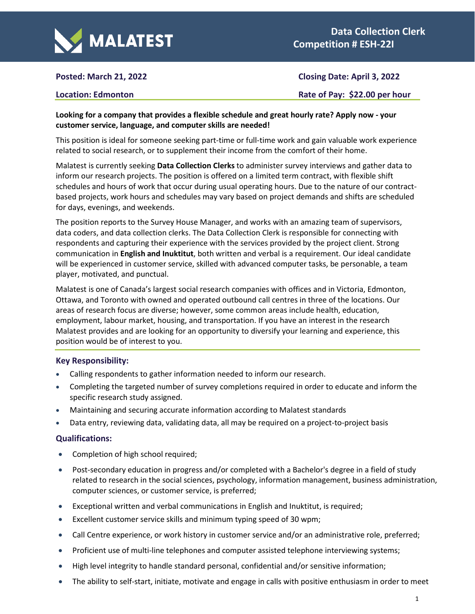

# **Posted: March 21, 2022 Closing Date: April 3, 2022**

**Location: Edmonton Rate of Pay:** \$22.00 per hour

## **Looking for a company that provides a flexible schedule and great hourly rate? Apply now - your customer service, language, and computer skills are needed!**

This position is ideal for someone seeking part-time or full-time work and gain valuable work experience related to social research, or to supplement their income from the comfort of their home.

Malatest is currently seeking **Data Collection Clerks** to administer survey interviews and gather data to inform our research projects. The position is offered on a limited term contract, with flexible shift schedules and hours of work that occur during usual operating hours. Due to the nature of our contractbased projects, work hours and schedules may vary based on project demands and shifts are scheduled for days, evenings, and weekends.

The position reports to the Survey House Manager, and works with an amazing team of supervisors, data coders, and data collection clerks. The Data Collection Clerk is responsible for connecting with respondents and capturing their experience with the services provided by the project client. Strong communication in **English and Inuktitut**, both written and verbal is a requirement. Our ideal candidate will be experienced in customer service, skilled with advanced computer tasks, be personable, a team player, motivated, and punctual.

Malatest is one of Canada's largest social research companies with offices and in Victoria, Edmonton, Ottawa, and Toronto with owned and operated outbound call centres in three of the locations. Our areas of research focus are diverse; however, some common areas include health, education, employment, labour market, housing, and transportation. If you have an interest in the research Malatest provides and are looking for an opportunity to diversify your learning and experience, this position would be of interest to you.

### **Key Responsibility:**

- Calling respondents to gather information needed to inform our research.
- Completing the targeted number of survey completions required in order to educate and inform the specific research study assigned.
- Maintaining and securing accurate information according to Malatest standards
- Data entry, reviewing data, validating data, all may be required on a project-to-project basis

### **Qualifications:**

- Completion of high school required;
- Post-secondary education in progress and/or completed with a Bachelor's degree in a field of study related to research in the social sciences, psychology, information management, business administration, computer sciences, or customer service, is preferred;
- Exceptional written and verbal communications in English and Inuktitut, is required;
- Excellent customer service skills and minimum typing speed of 30 wpm;
- Call Centre experience, or work history in customer service and/or an administrative role, preferred;
- Proficient use of multi-line telephones and computer assisted telephone interviewing systems;
- High level integrity to handle standard personal, confidential and/or sensitive information;
- The ability to self-start, initiate, motivate and engage in calls with positive enthusiasm in order to meet